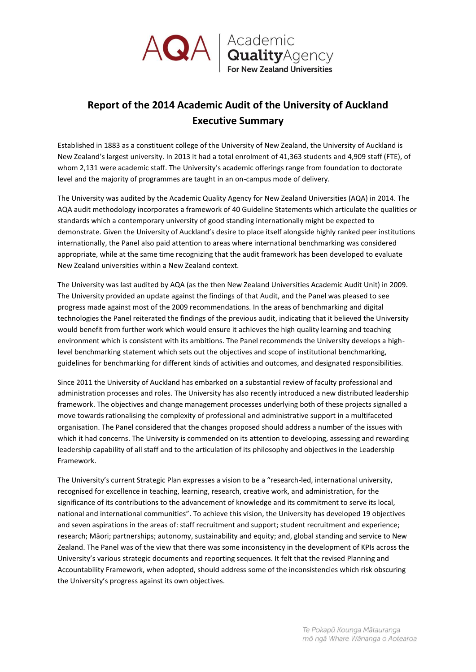

## **Report of the 2014 Academic Audit of the University of Auckland Executive Summary**

Established in 1883 as a constituent college of the University of New Zealand, the University of Auckland is New Zealand's largest university. In 2013 it had a total enrolment of 41,363 students and 4,909 staff (FTE), of whom 2,131 were academic staff. The University's academic offerings range from foundation to doctorate level and the majority of programmes are taught in an on-campus mode of delivery.

The University was audited by the Academic Quality Agency for New Zealand Universities (AQA) in 2014. The AQA audit methodology incorporates a framework of 40 Guideline Statements which articulate the qualities or standards which a contemporary university of good standing internationally might be expected to demonstrate. Given the University of Auckland's desire to place itself alongside highly ranked peer institutions internationally, the Panel also paid attention to areas where international benchmarking was considered appropriate, while at the same time recognizing that the audit framework has been developed to evaluate New Zealand universities within a New Zealand context.

The University was last audited by AQA (as the then New Zealand Universities Academic Audit Unit) in 2009. The University provided an update against the findings of that Audit, and the Panel was pleased to see progress made against most of the 2009 recommendations. In the areas of benchmarking and digital technologies the Panel reiterated the findings of the previous audit, indicating that it believed the University would benefit from further work which would ensure it achieves the high quality learning and teaching environment which is consistent with its ambitions. The Panel recommends the University develops a highlevel benchmarking statement which sets out the objectives and scope of institutional benchmarking, guidelines for benchmarking for different kinds of activities and outcomes, and designated responsibilities.

Since 2011 the University of Auckland has embarked on a substantial review of faculty professional and administration processes and roles. The University has also recently introduced a new distributed leadership framework. The objectives and change management processes underlying both of these projects signalled a move towards rationalising the complexity of professional and administrative support in a multifaceted organisation. The Panel considered that the changes proposed should address a number of the issues with which it had concerns. The University is commended on its attention to developing, assessing and rewarding leadership capability of all staff and to the articulation of its philosophy and objectives in the Leadership Framework.

The University's current Strategic Plan expresses a vision to be a "research-led, international university, recognised for excellence in teaching, learning, research, creative work, and administration, for the significance of its contributions to the advancement of knowledge and its commitment to serve its local, national and international communities". To achieve this vision, the University has developed 19 objectives and seven aspirations in the areas of: staff recruitment and support; student recruitment and experience; research; Māori; partnerships; autonomy, sustainability and equity; and, global standing and service to New Zealand. The Panel was of the view that there was some inconsistency in the development of KPIs across the University's various strategic documents and reporting sequences. It felt that the revised Planning and Accountability Framework, when adopted, should address some of the inconsistencies which risk obscuring the University's progress against its own objectives.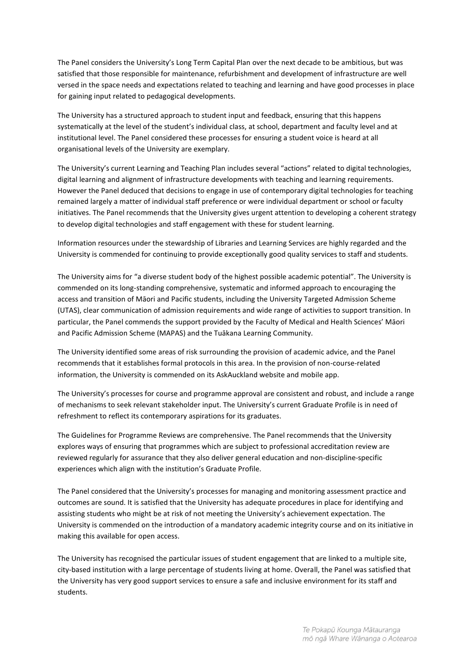The Panel considers the University's Long Term Capital Plan over the next decade to be ambitious, but was satisfied that those responsible for maintenance, refurbishment and development of infrastructure are well versed in the space needs and expectations related to teaching and learning and have good processes in place for gaining input related to pedagogical developments.

The University has a structured approach to student input and feedback, ensuring that this happens systematically at the level of the student's individual class, at school, department and faculty level and at institutional level. The Panel considered these processes for ensuring a student voice is heard at all organisational levels of the University are exemplary.

The University's current Learning and Teaching Plan includes several "actions" related to digital technologies, digital learning and alignment of infrastructure developments with teaching and learning requirements. However the Panel deduced that decisions to engage in use of contemporary digital technologies for teaching remained largely a matter of individual staff preference or were individual department or school or faculty initiatives. The Panel recommends that the University gives urgent attention to developing a coherent strategy to develop digital technologies and staff engagement with these for student learning.

Information resources under the stewardship of Libraries and Learning Services are highly regarded and the University is commended for continuing to provide exceptionally good quality services to staff and students.

The University aims for "a diverse student body of the highest possible academic potential". The University is commended on its long-standing comprehensive, systematic and informed approach to encouraging the access and transition of Māori and Pacific students, including the University Targeted Admission Scheme (UTAS), clear communication of admission requirements and wide range of activities to support transition. In particular, the Panel commends the support provided by the Faculty of Medical and Health Sciences' Māori and Pacific Admission Scheme (MAPAS) and the Tuākana Learning Community.

The University identified some areas of risk surrounding the provision of academic advice, and the Panel recommends that it establishes formal protocols in this area. In the provision of non-course-related information, the University is commended on its AskAuckland website and mobile app.

The University's processes for course and programme approval are consistent and robust, and include a range of mechanisms to seek relevant stakeholder input. The University's current Graduate Profile is in need of refreshment to reflect its contemporary aspirations for its graduates.

The Guidelines for Programme Reviews are comprehensive. The Panel recommends that the University explores ways of ensuring that programmes which are subject to professional accreditation review are reviewed regularly for assurance that they also deliver general education and non-discipline-specific experiences which align with the institution's Graduate Profile.

The Panel considered that the University's processes for managing and monitoring assessment practice and outcomes are sound. It is satisfied that the University has adequate procedures in place for identifying and assisting students who might be at risk of not meeting the University's achievement expectation. The University is commended on the introduction of a mandatory academic integrity course and on its initiative in making this available for open access.

The University has recognised the particular issues of student engagement that are linked to a multiple site, city-based institution with a large percentage of students living at home. Overall, the Panel was satisfied that the University has very good support services to ensure a safe and inclusive environment for its staff and students.